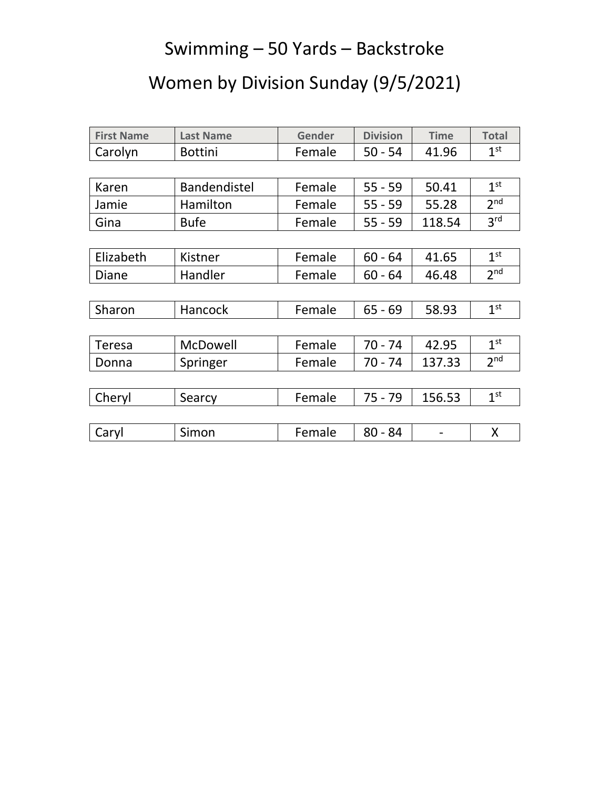## Swimming – 50 Yards – Backstroke

## Women by Division Sunday (9/5/2021)

| <b>First Name</b> | <b>Last Name</b> | Gender              | <b>Division</b> | <b>Time</b> | <b>Total</b>    |
|-------------------|------------------|---------------------|-----------------|-------------|-----------------|
| Carolyn           | <b>Bottini</b>   | Female              | $50 - 54$       | 41.96       | 1 <sup>st</sup> |
|                   |                  |                     |                 |             |                 |
| Karen             | Bandendistel     | Female              | $55 - 59$       | 50.41       | 1 <sup>st</sup> |
| Jamie             | Hamilton         | Female              | $55 - 59$       | 55.28       | 2 <sup>nd</sup> |
| Gina              | <b>Bufe</b>      | Female<br>$55 - 59$ |                 | 118.54      | 3 <sup>rd</sup> |
|                   |                  |                     |                 |             |                 |
| Elizabeth         | Kistner          | Female              | $60 - 64$       | 41.65       | 1 <sup>st</sup> |
| Diane             | Handler          | Female<br>$60 - 64$ |                 | 46.48       | 2 <sup>nd</sup> |
|                   |                  |                     |                 |             |                 |
| Sharon            | Hancock          | Female              | $65 - 69$       | 58.93       | 1 <sup>st</sup> |
|                   |                  |                     |                 |             |                 |
| <b>Teresa</b>     | McDowell         | Female              | $70 - 74$       | 42.95       | 1 <sup>st</sup> |
| Donna             | Springer         | Female              | $70 - 74$       | 137.33      | 2 <sub>nd</sub> |
|                   |                  |                     |                 |             |                 |
| Cheryl            | Searcy           | Female              | $75 - 79$       | 156.53      | 1 <sup>st</sup> |
|                   |                  |                     |                 |             |                 |
| Caryl             | Simon            | Female              | $80 - 84$       |             | X               |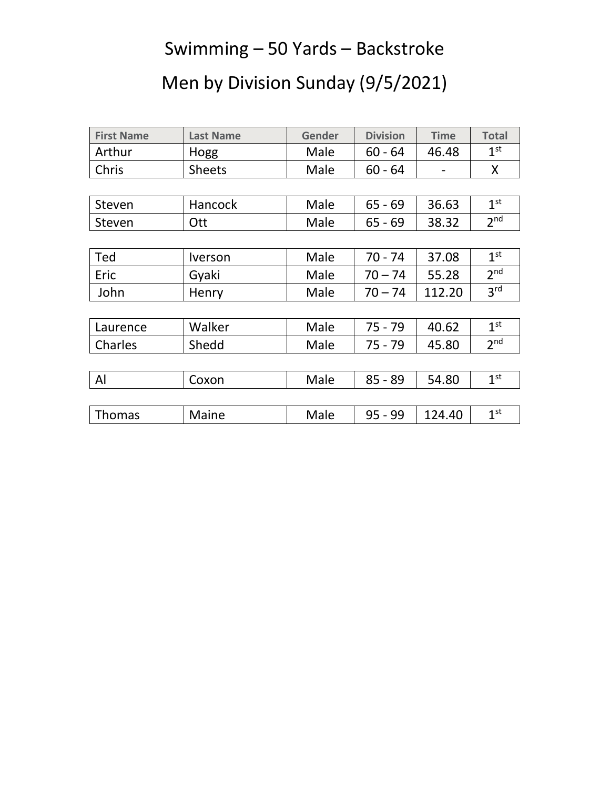## Swimming – 50 Yards – Backstroke

# Men by Division Sunday (9/5/2021)

| <b>First Name</b> | <b>Last Name</b>             | <b>Gender</b>     | <b>Division</b> | <b>Time</b> | <b>Total</b>    |
|-------------------|------------------------------|-------------------|-----------------|-------------|-----------------|
| Arthur            | Hogg                         | Male              | $60 - 64$       | 46.48       | 1 <sup>st</sup> |
| Chris             | <b>Sheets</b>                | Male              | $60 - 64$       |             | X               |
|                   |                              |                   |                 |             |                 |
| Steven            | Hancock                      | Male<br>$65 - 69$ |                 | 36.63       | 1 <sup>st</sup> |
| Steven            | Ott                          | Male<br>$65 - 69$ |                 | 38.32       | 2 <sub>nd</sub> |
|                   |                              |                   |                 |             |                 |
| Ted               | <i><u><b>Iverson</b></u></i> | Male              | $70 - 74$       |             | 1 <sup>st</sup> |
| Eric              | Gyaki                        | Male<br>$70 - 74$ |                 | 55.28       | 2 <sup>nd</sup> |
| John              | Henry                        | Male              | $70 - 74$       |             | 3 <sup>rd</sup> |
|                   |                              |                   |                 |             |                 |
| Laurence          | Walker                       | Male              | $75 - 79$       | 40.62       | 1 <sup>st</sup> |
| Charles           | Shedd                        | Male              | $75 - 79$       | 45.80       | 2 <sub>nd</sub> |
|                   |                              |                   |                 |             |                 |
| Al                | Coxon                        | Male              | $85 - 89$       | 54.80       | 1 <sup>st</sup> |
|                   |                              |                   |                 |             |                 |
| <b>Thomas</b>     | Maine                        | Male              | $95 - 99$       | 124.40      | 1 <sup>st</sup> |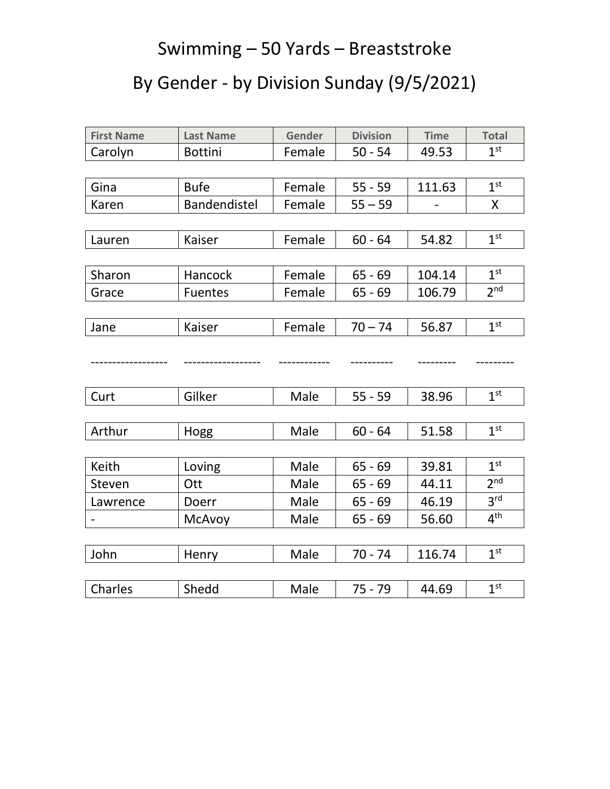## Swimming – 50 Yards – Breaststroke

# By Gender - by Division Sunday (9/5/2021)

| <b>First Name</b> | <b>Last Name</b>    | Gender | <b>Division</b> | <b>Time</b> | <b>Total</b>    |
|-------------------|---------------------|--------|-----------------|-------------|-----------------|
| Carolyn           | <b>Bottini</b>      | Female | $50 - 54$       | 49.53       | 1 <sup>st</sup> |
|                   |                     |        |                 |             |                 |
| Gina              | <b>Bufe</b>         | Female | $55 - 59$       | 111.63      | 1 <sup>st</sup> |
| Karen             | <b>Bandendistel</b> | Female | $55 - 59$       |             | $\mathsf{X}$    |
|                   |                     |        |                 |             |                 |
| Lauren            | Kaiser              | Female | $60 - 64$       | 54.82       | 1 <sup>st</sup> |
|                   |                     |        |                 |             |                 |
| Sharon            | Hancock             | Female | $65 - 69$       | 104.14      | 1 <sup>st</sup> |
| Grace             | <b>Fuentes</b>      | Female | $65 - 69$       | 106.79      | 2 <sup>nd</sup> |
|                   |                     |        |                 |             |                 |
| Jane              | Kaiser              | Female | $70 - 74$       | 56.87       | 1 <sup>st</sup> |
|                   |                     |        |                 |             |                 |
|                   |                     |        |                 |             |                 |
|                   |                     |        |                 |             |                 |
| Curt              | Gilker              | Male   | $55 - 59$       | 38.96       | 1 <sup>st</sup> |
|                   |                     |        |                 |             |                 |
| Arthur            | Hogg                | Male   | $60 - 64$       | 51.58       | 1 <sup>st</sup> |
|                   |                     |        |                 |             |                 |
| Keith             | Loving              | Male   | $65 - 69$       | 39.81       | 1 <sup>st</sup> |
| Steven            | Ott                 | Male   | $65 - 69$       | 44.11       | 2 <sup>nd</sup> |
| Lawrence          | Doerr               | Male   | $65 - 69$       | 46.19       | 3 <sup>rd</sup> |
|                   | McAvoy              | Male   | $65 - 69$       | 56.60       | $4^{\text{th}}$ |
|                   |                     |        |                 |             |                 |
| John              | Henry               | Male   | $70 - 74$       | 116.74      | 1 <sup>st</sup> |
|                   |                     |        |                 |             |                 |
| Charles           | Shedd               | Male   | $75 - 79$       | 44.69       | 1 <sup>st</sup> |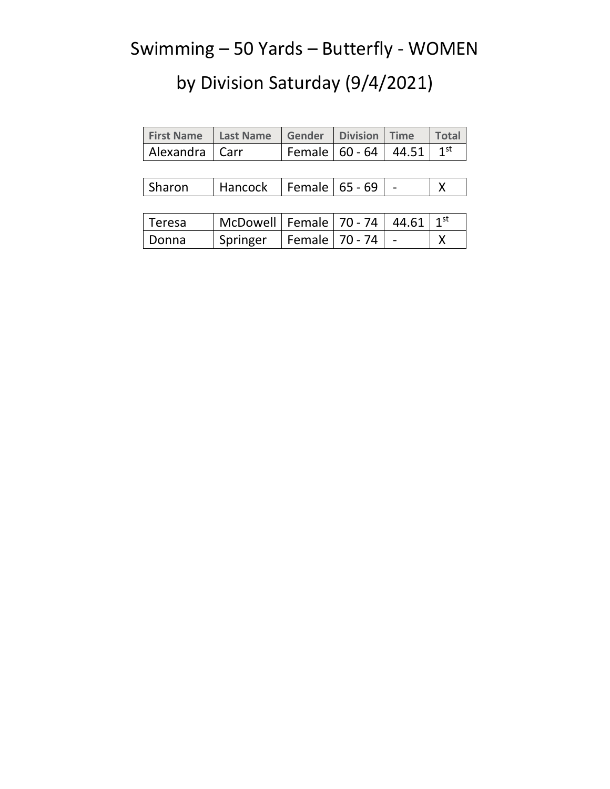## Swimming – 50 Yards – Butterfly - WOMEN

| <b>First Name Last Name Gender Division Time</b> |                                                          |  | <b>Total</b> |
|--------------------------------------------------|----------------------------------------------------------|--|--------------|
| Alexandra   Carr                                 | $\vert$ Female $\vert$ 60 - 64 $\vert$ 44.51 $\vert$ 1st |  |              |

| Sharon | Hancock | Female   65 - 69 |  |  |  |
|--------|---------|------------------|--|--|--|
|--------|---------|------------------|--|--|--|

| Teresa | McDowell   Female   70 - 74   44.61   1st |                      |  |  |
|--------|-------------------------------------------|----------------------|--|--|
| Donna  | <sup>'</sup> Springer                     | Female   70 - 74   - |  |  |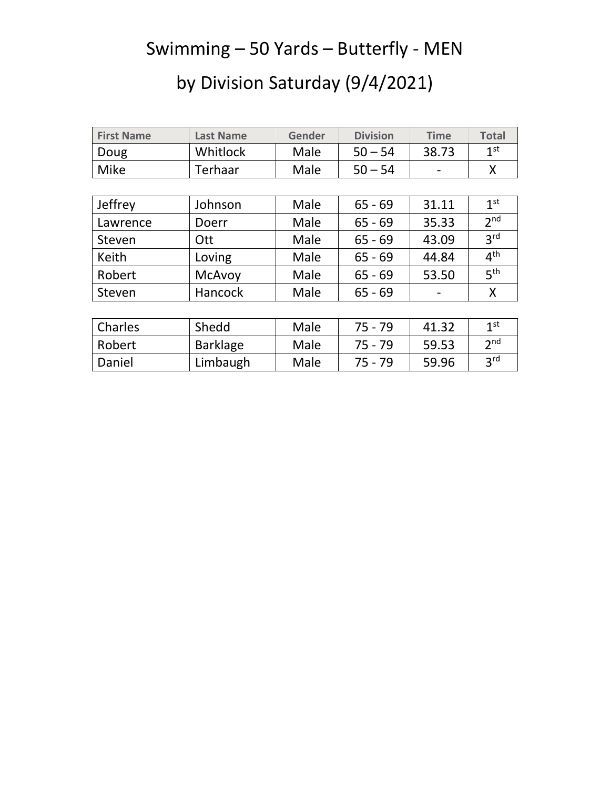## Swimming – 50 Yards – Butterfly - MEN

| <b>First Name</b> | <b>Last Name</b> | <b>Gender</b> | <b>Division</b> | <b>Time</b> | <b>Total</b>    |
|-------------------|------------------|---------------|-----------------|-------------|-----------------|
| Doug              | Whitlock         | Male          | $50 - 54$       | 38.73       | 1 <sup>st</sup> |
| <b>Mike</b>       | Terhaar          | Male          | $50 - 54$       |             | X               |
|                   |                  |               |                 |             |                 |
| Jeffrey           | Johnson          | Male          | $65 - 69$       | 31.11       | 1 <sup>st</sup> |
| Lawrence          | Doerr            | Male          | $65 - 69$       | 35.33       | 2 <sub>nd</sub> |
| Steven            | Ott              | Male          | $65 - 69$       | 43.09       | 3 <sup>rd</sup> |
| Keith             | Loving           | Male          | $65 - 69$       | 44.84       | 4 <sup>th</sup> |
| Robert            | <b>McAvoy</b>    | Male          | $65 - 69$       | 53.50       | 5 <sup>th</sup> |
| Steven            | <b>Hancock</b>   | Male          | $65 - 69$       |             | X               |
|                   |                  |               |                 |             |                 |

| Charles | Shedd           | Male | 75 - 79 | 41.32 | 1st               |
|---------|-----------------|------|---------|-------|-------------------|
| Robert  | <b>Barklage</b> | Male | 75 - 79 | 59.53 | $\mathbf{\infty}$ |
| Daniel  | Limbaugh        | Male | 75 - 79 | 59.96 | 2rd               |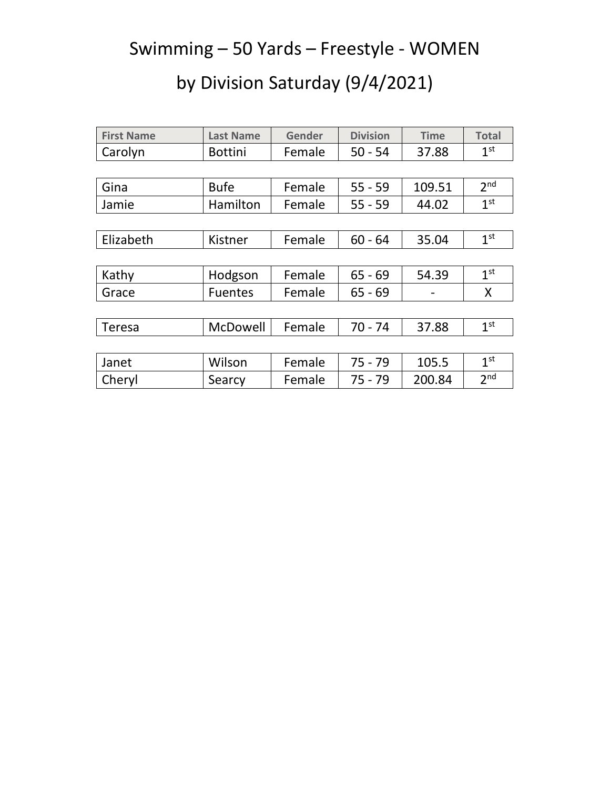## Swimming – 50 Yards – Freestyle - WOMEN

| <b>First Name</b> | <b>Last Name</b> | Gender | <b>Division</b> | <b>Time</b> | <b>Total</b>    |
|-------------------|------------------|--------|-----------------|-------------|-----------------|
| Carolyn           | <b>Bottini</b>   | Female | $50 - 54$       | 37.88       | 1 <sup>st</sup> |
|                   |                  |        |                 |             |                 |
| Gina              | <b>Bufe</b>      | Female | $55 - 59$       | 109.51      | 2 <sub>nd</sub> |
| Jamie             | Hamilton         | Female | $55 - 59$       | 44.02       | 1 <sup>st</sup> |
|                   |                  |        |                 |             |                 |
| Elizabeth         | Kistner          | Female | $60 - 64$       | 35.04       | 1 <sup>st</sup> |
|                   |                  |        |                 |             |                 |
| Kathy             | Hodgson          | Female | $65 - 69$       | 54.39       | 1 <sup>st</sup> |
| Grace             | <b>Fuentes</b>   | Female | $65 - 69$       |             | X               |
|                   |                  |        |                 |             |                 |
| Teresa            | McDowell         | Female | $70 - 74$       | 37.88       | 1 <sup>st</sup> |
|                   |                  |        |                 |             |                 |
| Janet             | Wilson           | Female | $75 - 79$       | 105.5       | 1 <sup>st</sup> |
| Cheryl            | Searcy           | Female | $75 - 79$       | 200.84      | 2 <sup>nd</sup> |
|                   |                  |        |                 |             |                 |